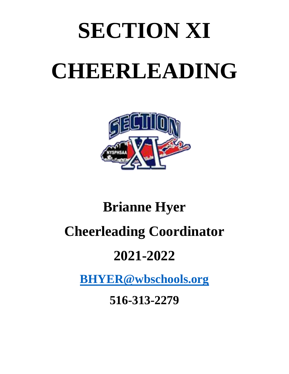# **SECTION XI CHEERLEADING**



## **Brianne Hyer Cheerleading Coordinator 2021-2022**

**[BHYER@wbschools.org](mailto:BHYER@wbschools.org)**

**516-313-2279**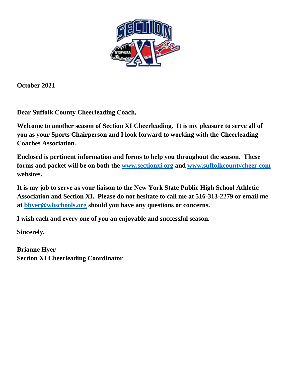

**October 2021**

**Dear Suffolk County Cheerleading Coach,**

**Welcome to another season of Section XI Cheerleading. It is my pleasure to serve all of you as your Sports Chairperson and I look forward to working with the Cheerleading Coaches Association.**

**Enclosed is pertinent information and forms to help you throughout the season. These forms and packet will be on both the [www.sectionxi.org](http://www.sectionxi.org/) and [www.suffolkcountycheer.com](http://www.suffolkcountycheer.com/) websites.** 

**It is my job to serve as your liaison to the New York State Public High School Athletic Association and Section XI. Please do not hesitate to call me at 516-313-2279 or email me at [bhyer@wbschools.org](mailto:bhyer@wbschools.org) should you have any questions or concerns.**

**I wish each and every one of you an enjoyable and successful season.**

**Sincerely,**

**Brianne Hyer Section XI Cheerleading Coordinator**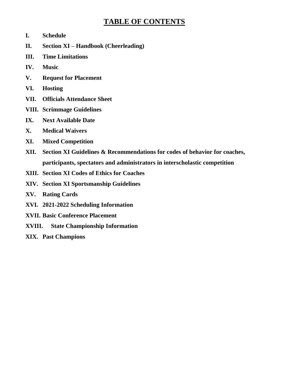## **TABLE OF CONTENTS**

- **I. Schedule**
- **II. Section XI – Handbook (Cheerleading)**
- **III. Time Limitations**
- **IV. Music**
- **V. Request for Placement**
- **VI. Hosting**
- **VII. Officials Attendance Sheet**
- **VIII. Scrimmage Guidelines**
- **IX. Next Available Date**
- **X. Medical Waivers**
- **XI. Mixed Competition**
- **XII. Section XI Guidelines & Recommendations for codes of behavior for coaches, participants, spectators and administrators in interscholastic competition**
- **XIII. Section XI Codes of Ethics for Coaches**
- **XIV. Section XI Sportsmanship Guidelines**
- **XV. Rating Cards**
- **XVI. 2021-2022 Scheduling Information**
- **XVII. Basic Conference Placement**
- **XVIII. State Championship Information**
- **XIX. Past Champions**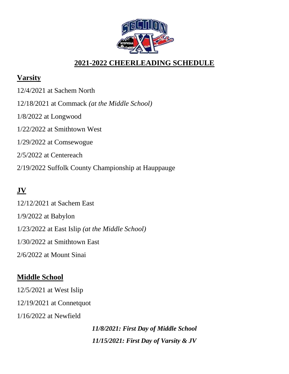

## **2021-2022 CHEERLEADING SCHEDULE**

## **Varsity**

12/4/2021 at Sachem North 12/18/2021 at Commack *(at the Middle School)* 1/8/2022 at Longwood 1/22/2022 at Smithtown West 1/29/2022 at Comsewogue 2/5/2022 at Centereach 2/19/2022 Suffolk County Championship at Hauppauge

## **JV**

12/12/2021 at Sachem East 1/9/2022 at Babylon 1/23/2022 at East Islip *(at the Middle School)* 1/30/2022 at Smithtown East 2/6/2022 at Mount Sinai

## **Middle School**

12/5/2021 at West Islip 12/19/2021 at Connetquot 1/16/2022 at Newfield

> *11/8/2021: First Day of Middle School 11/15/2021: First Day of Varsity & JV*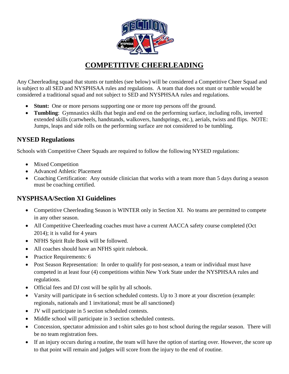

## **COMPETITIVE CHEERLEADING**

Any Cheerleading squad that stunts or tumbles (see below) will be considered a Competitive Cheer Squad and is subject to all SED and NYSPHSAA rules and regulations. A team that does not stunt or tumble would be considered a traditional squad and not subject to SED and NYSPHSAA rules and regulations.

- **Stunt:** One or more persons supporting one or more top persons off the ground.
- **Tumbling**: Gymnastics skills that begin and end on the performing surface, including rolls, inverted extended skills (cartwheels, handstands, walkovers, handsprings, etc.), aerials, twists and flips. NOTE: Jumps, leaps and side rolls on the performing surface are not considered to be tumbling.

#### **NYSED Regulations**

Schools with Competitive Cheer Squads are required to follow the following NYSED regulations:

- Mixed Competition
- Advanced Athletic Placement
- Coaching Certification: Any outside clinician that works with a team more than 5 days during a season must be coaching certified.

#### **NYSPHSAA/Section XI Guidelines**

- Competitive Cheerleading Season is WINTER only in Section XI. No teams are permitted to compete in any other season.
- All Competitive Cheerleading coaches must have a current AACCA safety course completed (Oct 2014); it is valid for 4 years
- NFHS Spirit Rule Book will be followed.
- All coaches should have an NFHS spirit rulebook.
- Practice Requirements: 6
- Post Season Representation: In order to qualify for post-season, a team or individual must have competed in at least four (4) competitions within New York State under the NYSPHSAA rules and regulations.
- Official fees and DJ cost will be split by all schools.
- Varsity will participate in 6 section scheduled contests. Up to 3 more at your discretion (example: regionals, nationals and 1 invitational; must be all sanctioned)
- JV will participate in 5 section scheduled contests.
- Middle school will participate in 3 section scheduled contests.
- Concession, spectator admission and t-shirt sales go to host school during the regular season. There will be no team registration fees.
- If an injury occurs during a routine, the team will have the option of starting over. However, the score up to that point will remain and judges will score from the injury to the end of routine.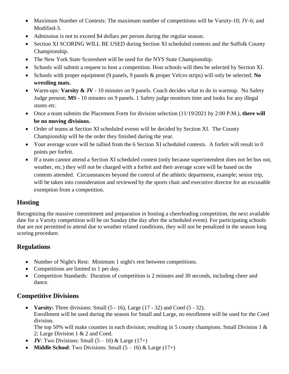- Maximum Number of Contests: The maximum number of competitions will be Varsity-10; JV-6; and Modified-3.
- Admission is not to exceed \$4 dollars per person during the regular season.
- Section XI SCORING WILL BE USED during Section XI scheduled contests and the Suffolk County Championship.
- The New York State Scoresheet will be used for the NYS State Championship.
- Schools will submit a request to host a competition. Host schools will then be selected by Section XI.
- Schools with proper equipment (9 panels, 9 panels & proper Velcro strips) will only be selected; **No wrestling mats.**
- Warm-ups: **Varsity & JV** 10 minutes on 9 panels. Coach decides what to do in warmup. No Safety Judge present; **MS** - 10 minutes on 9 panels. 1 Safety judge monitors time and looks for any illegal stunts etc.
- Once a team submits the Placement Form for division selection (11/19/2021 by 2:00 P.M.), **there will be no moving divisions.**
- Order of teams at Section XI scheduled events will be decided by Section XI. The County Championship will be the order they finished during the year.
- Your average score will be tallied from the 6 Section XI scheduled contests. A forfeit will result in 0 points per forfeit.
- If a team cannot attend a Section XI scheduled contest (only because superintendent does not let bus out, weather, etc.) they will not be charged with a forfeit and their average score will be based on the contests attended. Circumstances beyond the control of the athletic department, example; senior trip, will be taken into consideration and reviewed by the sports chair and executive director for an excusable exemption from a competition.

#### **Hosting**

Recognizing the massive commitment and preparation in hosting a cheerleading competition, the next available date for a Varsity competition will be on Sunday (the day after the scheduled event). For participating schools that are not permitted to attend due to weather related conditions, they will not be penalized in the season long scoring procedure.

#### **Regulations**

- Number of Night's Rest: Minimum 1 night's rest between competitions.
- Competitions are limited to 1 per day.
- Competition Standards: Duration of competition is 2 minutes and 30 seconds, including cheer and dance.

#### **Competitive Divisions**

• **Varsity:** Three divisions: Small (5 - 16), Large (17 - 32) and Coed (5 - 32). Enrollment will be used during the season for Small and Large, no enrollment will be used for the Coed division.

The top 50% will make counties in each division; resulting in 5 county champions. Small Division 1 & 2; Large Division 1 & 2 and Coed.

- $\bullet$  **JV**: Two Divisions: Small  $(5-16)$  & Large  $(17+)$
- **Middle School**: Two Divisions: Small  $(5 16)$  & Large  $(17+)$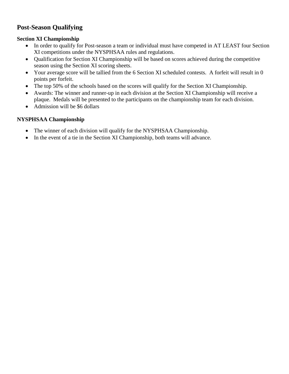#### **Post-Season Qualifying**

#### **Section XI Championship**

- In order to qualify for Post-season a team or individual must have competed in AT LEAST four Section XI competitions under the NYSPHSAA rules and regulations.
- Qualification for Section XI Championship will be based on scores achieved during the competitive season using the Section XI scoring sheets.
- Your average score will be tallied from the 6 Section XI scheduled contests. A forfeit will result in 0 points per forfeit.
- The top 50% of the schools based on the scores will qualify for the Section XI Championship.
- Awards: The winner and runner-up in each division at the Section XI Championship will receive a plaque. Medals will be presented to the participants on the championship team for each division.
- Admission will be \$6 dollars

#### **NYSPHSAA Championship**

- The winner of each division will qualify for the NYSPHSAA Championship.
- In the event of a tie in the Section XI Championship, both teams will advance.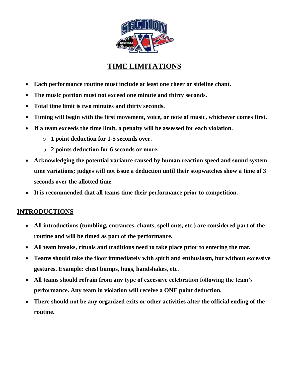

## **TIME LIMITATIONS**

- **Each performance routine must include at least one cheer or sideline chant.**
- **The music portion must not exceed one minute and thirty seconds.**
- **Total time limit is two minutes and thirty seconds.**
- **Timing will begin with the first movement, voice, or note of music, whichever comes first.**
- **If a team exceeds the time limit, a penalty will be assessed for each violation.** 
	- o **1 point deduction for 1-5 seconds over.**
	- o **2 points deduction for 6 seconds or more.**
- **Acknowledging the potential variance caused by human reaction speed and sound system time variations; judges will not issue a deduction until their stopwatches show a time of 3 seconds over the allotted time.**
- **It is recommended that all teams time their performance prior to competition.**

#### **INTRODUCTIONS**

- **All introductions (tumbling, entrances, chants, spell outs, etc.) are considered part of the routine and will be timed as part of the performance.**
- **All team breaks, rituals and traditions need to take place prior to entering the mat.**
- **Teams should take the floor immediately with spirit and enthusiasm, but without excessive gestures. Example: chest bumps, hugs, handshakes, etc.**
- **All teams should refrain from any type of excessive celebration following the team's performance. Any team in violation will receive a ONE point deduction.**
- **There should not be any organized exits or other activities after the official ending of the routine.**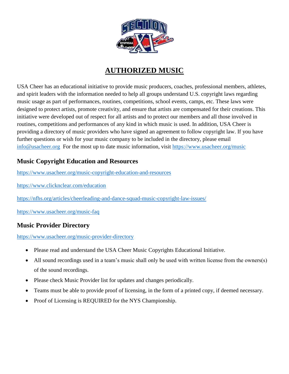

## **AUTHORIZED MUSIC**

USA Cheer has an educational initiative to provide music producers, coaches, professional members, athletes, and spirit leaders with the information needed to help all groups understand U.S. copyright laws regarding music usage as part of performances, routines, competitions, school events, camps, etc. These laws were designed to protect artists, promote creativity, and ensure that artists are compensated for their creations. This initiative were developed out of respect for all artists and to protect our members and all those involved in routines, competitions and performances of any kind in which music is used. In addition, USA Cheer is providing a directory of music providers who have signed an agreement to follow copyright law. If you have further questions or wish for your music company to be included in the directory, please email [info@usacheer.org](mailto:info@usacheer.org) For the most up to date music information, visit <https://www.usacheer.org/music>

#### **Music Copyright Education and Resources**

<https://www.usacheer.org/music-copyright-education-and-resources>

<https://www.clicknclear.com/education>

<https://nfhs.org/articles/cheerleading-and-dance-squad-music-copyright-law-issues/>

<https://www.usacheer.org/music-faq>

#### **Music Provider Directory**

<https://www.usacheer.org/music-provider-directory>

- Please read and understand the USA Cheer Music Copyrights Educational Initiative.
- All sound recordings used in a team's music shall only be used with written license from the owners(s) of the sound recordings.
- Please check Music Provider list for updates and changes periodically.
- Teams must be able to provide proof of licensing, in the form of a printed copy, if deemed necessary.
- Proof of Licensing is REQUIRED for the NYS Championship.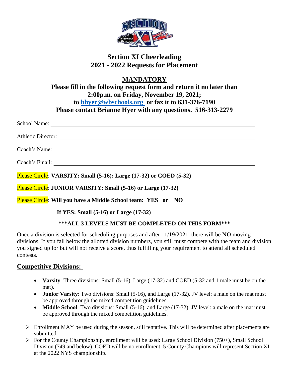

### **Section XI Cheerleading 2021 - 2022 Requests for Placement**

**MANDATORY**

**Please fill in the following request form and return it no later than 2:00p.m. on Friday, November 19, 2021; to [bhyer@wbschools.org](mailto:bhyer@wbschools.org) or fax it to 631-376-7190 Please contact Brianne Hyer with any questions. 516-313-2279**

School Name:

Athletic Director:

Coach's Name:

Coach's Email:

Please Circle: **VARSITY: Small (5-16); Large (17-32) or COED (5-32)**

Please Circle: **JUNIOR VARSITY: Small (5-16) or Large (17-32)**

Please Circle: **Will you have a Middle School team: YES or NO**

 **If YES: Small (5-16) or Large (17-32)**

#### **\*\*\*ALL 3 LEVELS MUST BE COMPLETED ON THIS FORM\*\*\***

Once a division is selected for scheduling purposes and after 11/19/2021, there will be **NO** moving divisions. If you fall below the allotted division numbers, you still must compete with the team and division you signed up for but will not receive a score, thus fulfilling your requirement to attend all scheduled contests.

#### **Competitive Divisions:**

- **Varsity**: Three divisions: Small (5-16), Large (17-32) and COED (5-32 and 1 male must be on the mat).
- **Junior Varsity**: Two divisions: Small (5-16), and Large (17-32). JV level: a male on the mat must be approved through the mixed competition guidelines.
- **Middle School**: Two divisions: Small (5-16), and Large (17-32). JV level: a male on the mat must be approved through the mixed competition guidelines.
- $\triangleright$  Enrollment MAY be used during the season, still tentative. This will be determined after placements are submitted.
- $\triangleright$  For the County Championship, enrollment will be used: Large School Division (750+), Small School Division (749 and below), COED will be no enrollment. 5 County Champions will represent Section XI at the 2022 NYS championship.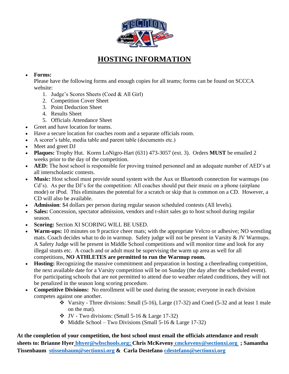

## **HOSTING INFORMATION**

#### **Forms:**

Please have the following forms and enough copies for all teams; forms can be found on SCCCA website:

- 1. Judge's Scores Sheets (Coed & All Girl)
- 2. Competition Cover Sheet
- 3. Point Deduction Sheet
- 4. Results Sheet
- 5. Officials Attendance Sheet
- Greet and have location for teams.
- Have a secure location for coaches room and a separate officials room.
- A scorer's table, media table and parent table (documents etc.)
- Meet and greet DJ
- **Plaques:** Trophy Hut. Koren LoNigro-Hart (631) 473-3057 (ext. 3). Orders **MUST** be emailed 2 weeks prior to the day of the competition.
- **AED:** The host school is responsible for proving trained personnel and an adequate number of AED's at all interscholastic contests.
- **Music:** Host school must provide sound system with the Aux or Bluetooth connection for warmups (no Cd's).As per the DJ's for the competition: All coaches should put their music on a phone (airplane mode) or iPod. This eliminates the potential for a scratch or skip that is common on a CD. However, a CD will also be available.
- **Admission**: \$4 dollars per person during regular season scheduled contests (All levels).
- Sales: Concession, spectator admission, vendors and t-shirt sales go to host school during regular season.
- **Scoring:** Section XI SCORING WILL BE USED.
- **Warm-ups:** 10 minutes on 9 practice cheer mats; with the appropriate Velcro or adhesive; NO wrestling mats. Coach decides what to do in warmup. Safety judge will not be present in Varsity & JV Warmups. A Safety Judge will be present in Middle School competitions and will monitor time and look for any illegal stunts etc. A coach and or adult must be supervising the warm up area as well for all competitions, **NO ATHLETES are permitted to run the Warmup room.**
- **Hosting:** Recognizing the massive commitment and preparation in hosting a cheerleading competition, the next available date for a Varsity competition will be on Sunday (the day after the scheduled event). For participating schools that are not permitted to attend due to weather related conditions, they will not be penalized in the season long scoring procedure.
- **Competitive Divisions:** No enrollment will be used during the season; everyone in each division competes against one another.
	- $\cdot$  Varsity Three divisions: Small (5-16), Large (17-32) and Coed (5-32 and at least 1 male on the mat).
	- $\bullet$  JV Two divisions: (Small 5-16 & Large 17-32)
	- $\div$  Middle School Two Divisions (Small 5-16 & Large 17-32)

**At the completion of your competition, the host school must email the officials attendance and result sheets to: Brianne Hyer [bhyer@wbschools.org;](mailto:bhyer@wbschools.org) Chris McKeveny [cmckeveny@sectionxi.org](mailto:cmckeveneny@sectionxi.org) ; Samantha Tissenbaum [stissenbaum@sectionxi.org](mailto:stissenbaum@sectionxi.org) & Carla Destefano [cdestefano@sectionxi.org](mailto:cdestefano@sectionxi.org)**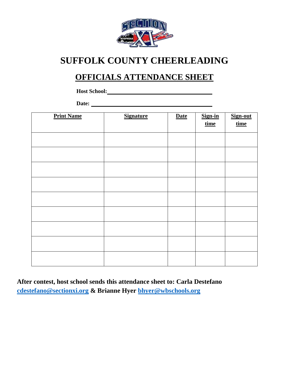

## **SUFFOLK COUNTY CHEERLEADING**

## **OFFICIALS ATTENDANCE SHEET**

**Host School:**

Date: <u>**Date: Date: Date: Date: Date: Date: Date: Date: Date: Date: Date: Date: Date: Date: Date: Date: Date: Date: Date: Date: Date: Date: Date: Date: Date: Date: Date:**</u>

| <b>Print Name</b> | <b>Signature</b> | <b>Date</b> | Sign-in<br>time | Sign-out<br><u>time</u> |
|-------------------|------------------|-------------|-----------------|-------------------------|
|                   |                  |             |                 |                         |
|                   |                  |             |                 |                         |
|                   |                  |             |                 |                         |
|                   |                  |             |                 |                         |
|                   |                  |             |                 |                         |
|                   |                  |             |                 |                         |
|                   |                  |             |                 |                         |
|                   |                  |             |                 |                         |
|                   |                  |             |                 |                         |

**After contest, host school sends this attendance sheet to: Carla Destefano [cdestefano@sectionxi.org](mailto:cdestefano@sectionxi.org) & Brianne Hyer [bhyer@wbschools.org](mailto:bhyer@wbschools.org)**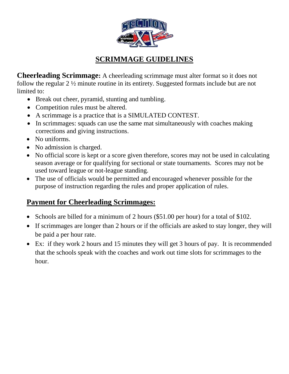

## **SCRIMMAGE GUIDELINES**

**Cheerleading Scrimmage:** A cheerleading scrimmage must alter format so it does not follow the regular 2 ½ minute routine in its entirety. Suggested formats include but are not limited to:

- Break out cheer, pyramid, stunting and tumbling.
- Competition rules must be altered.
- A scrimmage is a practice that is a SIMULATED CONTEST.
- In scrimmages: squads can use the same mat simultaneously with coaches making corrections and giving instructions.
- No uniforms.
- No admission is charged.
- No official score is kept or a score given therefore, scores may not be used in calculating season average or for qualifying for sectional or state tournaments. Scores may not be used toward league or not-league standing.
- The use of officials would be permitted and encouraged whenever possible for the purpose of instruction regarding the rules and proper application of rules.

## **Payment for Cheerleading Scrimmages:**

- Schools are billed for a minimum of 2 hours (\$51.00 per hour) for a total of \$102.
- If scrimmages are longer than 2 hours or if the officials are asked to stay longer, they will be paid a per hour rate.
- Ex: if they work 2 hours and 15 minutes they will get 3 hours of pay. It is recommended that the schools speak with the coaches and work out time slots for scrimmages to the hour.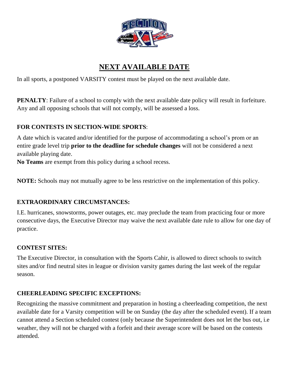

## **NEXT AVAILABLE DATE**

In all sports, a postponed VARSITY contest must be played on the next available date.

**PENALTY**: Failure of a school to comply with the next available date policy will result in forfeiture. Any and all opposing schools that will not comply, will be assessed a loss.

#### **FOR CONTESTS IN SECTION-WIDE SPORTS**:

A date which is vacated and/or identified for the purpose of accommodating a school's prom or an entire grade level trip **prior to the deadline for schedule changes** will not be considered a next available playing date.

**No Teams** are exempt from this policy during a school recess.

**NOTE:** Schools may not mutually agree to be less restrictive on the implementation of this policy.

#### **EXTRAORDINARY CIRCUMSTANCES:**

I.E. hurricanes, snowstorms, power outages, etc. may preclude the team from practicing four or more consecutive days, the Executive Director may waive the next available date rule to allow for one day of practice.

#### **CONTEST SITES:**

The Executive Director, in consultation with the Sports Cahir, is allowed to direct schools to switch sites and/or find neutral sites in league or division varsity games during the last week of the regular season.

#### **CHEERLEADING SPECIFIC EXCEPTIONS:**

Recognizing the massive commitment and preparation in hosting a cheerleading competition, the next available date for a Varsity competition will be on Sunday (the day after the scheduled event). If a team cannot attend a Section scheduled contest (only because the Superintendent does not let the bus out, i.e weather, they will not be charged with a forfeit and their average score will be based on the contests attended.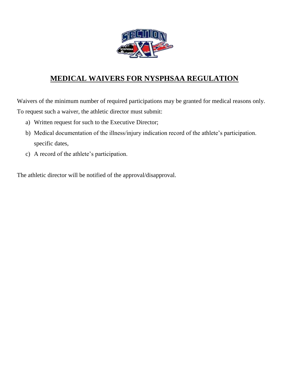

## **MEDICAL WAIVERS FOR NYSPHSAA REGULATION**

Waivers of the minimum number of required participations may be granted for medical reasons only. To request such a waiver, the athletic director must submit:

- a) Written request for such to the Executive Director;
- b) Medical documentation of the illness/injury indication record of the athlete's participation. specific dates,
- c) A record of the athlete's participation.

The athletic director will be notified of the approval/disapproval.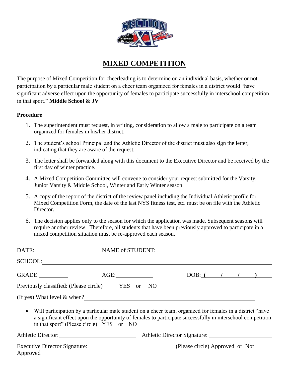

## **MIXED COMPETITION**

The purpose of Mixed Competition for cheerleading is to determine on an individual basis, whether or not participation by a particular male student on a cheer team organized for females in a district would "have significant adverse effect upon the opportunity of females to participate successfully in interschool competition in that sport." **Middle School & JV**

#### **Procedure**

- 1. The superintendent must request, in writing, consideration to allow a male to participate on a team organized for females in his/her district.
- 2. The student's school Principal and the Athletic Director of the district must also sign the letter, indicating that they are aware of the request.
- 3. The letter shall be forwarded along with this document to the Executive Director and be received by the first day of winter practice.
- 4. A Mixed Competition Committee will convene to consider your request submitted for the Varsity, Junior Varsity & Middle School, Winter and Early Winter season.
- 5. A copy of the report of the district of the review panel including the Individual Athletic profile for Mixed Competition Form, the date of the last NYS fitness test, etc. must be on file with the Athletic Director.
- 6. The decision applies only to the season for which the application was made. Subsequent seasons will require another review. Therefore, all students that have been previously approved to participate in a mixed competition situation must be re-approved each season.

|                                                                                                              |                                                                                                                                                         |                     | NAME of STUDENT:                |  |  |
|--------------------------------------------------------------------------------------------------------------|---------------------------------------------------------------------------------------------------------------------------------------------------------|---------------------|---------------------------------|--|--|
| SCHOOL:                                                                                                      |                                                                                                                                                         |                     |                                 |  |  |
| GRADE:                                                                                                       | AGE:                                                                                                                                                    |                     | DOB: $($ / $/$ )                |  |  |
| Previously classified: (Please circle) YES                                                                   |                                                                                                                                                         | NO<br><sub>or</sub> |                                 |  |  |
| (If yes) What level $&$ when?                                                                                |                                                                                                                                                         |                     |                                 |  |  |
| • Will participation by a particular male student on a cheer team, organized for females in a district "have | a significant effect upon the opportunity of females to participate successfully in interschool competition<br>in that sport" (Please circle) YES or NO |                     |                                 |  |  |
| Athletic Director:                                                                                           |                                                                                                                                                         |                     | Athletic Director Signature:    |  |  |
| Approved                                                                                                     |                                                                                                                                                         |                     | (Please circle) Approved or Not |  |  |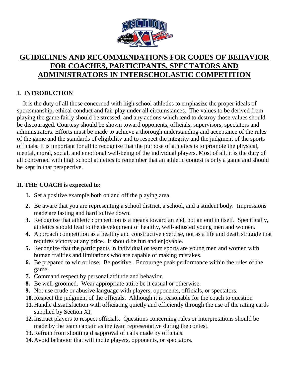

## **GUIDELINES AND RECOMMENDATIONS FOR CODES OF BEHAVIOR FOR COACHES, PARTICIPANTS, SPECTATORS AND ADMINISTRATORS IN INTERSCHOLASTIC COMPETITION**

#### **I. INTRODUCTION**

 It is the duty of all those concerned with high school athletics to emphasize the proper ideals of sportsmanship, ethical conduct and fair play under all circumstances. The values to be derived from playing the game fairly should be stressed, and any actions which tend to destroy those values should be discouraged. Courtesy should be shown toward opponents, officials, supervisors, spectators and administrators. Efforts must be made to achieve a thorough understanding and acceptance of the rules of the game and the standards of eligibility and to respect the integrity and the judgment of the sports officials. It is important for all to recognize that the purpose of athletics is to promote the physical, mental, moral, social, and emotional well-being of the individual players. Most of all, it is the duty of all concerned with high school athletics to remember that an athletic contest is only a game and should be kept in that perspective.

#### **II. THE COACH is expected to:**

- **1.** Set a positive example both on and off the playing area.
- **2.** Be aware that you are representing a school district, a school, and a student body. Impressions made are lasting and hard to live down.
- **3.** Recognize that athletic competition is a means toward an end, not an end in itself. Specifically, athletics should lead to the development of healthy, well-adjusted young men and women.
- **4.** Approach competition as a healthy and constructive exercise, not as a life and death struggle that requires victory at any price. It should be fun and enjoyable.
- **5.** Recognize that the participants in individual or team sports are young men and women with human frailties and limitations who are capable of making mistakes.
- **6.** Be prepared to win or lose. Be positive. Encourage peak performance within the rules of the game.
- **7.** Command respect by personal attitude and behavior.
- **8.** Be well-groomed. Wear appropriate attire be it casual or otherwise.
- **9.** Not use crude or abusive language with players, opponents, officials, or spectators.
- **10.**Respect the judgment of the officials. Although it is reasonable for the coach to question
- **11.**Handle dissatisfaction with officiating quietly and efficiently through the use of the rating cards supplied by Section XI.
- **12.**Instruct players to respect officials. Questions concerning rules or interpretations should be made by the team captain as the team representative during the contest.
- **13.**Refrain from shouting disapproval of calls made by officials.
- **14.**Avoid behavior that will incite players, opponents, or spectators.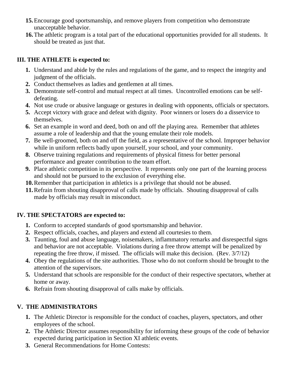- **15.**Encourage good sportsmanship, and remove players from competition who demonstrate unacceptable behavior.
- **16.**The athletic program is a total part of the educational opportunities provided for all students. It should be treated as just that.

#### **III. THE ATHLETE is expected to:**

- **1.** Understand and abide by the rules and regulations of the game, and to respect the integrity and judgment of the officials.
- **2.** Conduct themselves as ladies and gentlemen at all times.
- **3.** Demonstrate self-control and mutual respect at all times. Uncontrolled emotions can be selfdefeating.
- **4.** Not use crude or abusive language or gestures in dealing with opponents, officials or spectators.
- **5.** Accept victory with grace and defeat with dignity. Poor winners or losers do a disservice to themselves.
- **6.** Set an example in word and deed, both on and off the playing area. Remember that athletes assume a role of leadership and that the young emulate their role models.
- **7.** Be well-groomed, both on and off the field, as a representative of the school. Improper behavior while in uniform reflects badly upon yourself, your school, and your community.
- **8.** Observe training regulations and requirements of physical fitness for better personal performance and greater contribution to the team effort.
- **9.** Place athletic competition in its perspective. It represents only one part of the learning process and should not be pursued to the exclusion of everything else.
- **10.**Remember that participation in athletics is a privilege that should not be abused.
- **11.**Refrain from shouting disapproval of calls made by officials. Shouting disapproval of calls made by officials may result in misconduct.

#### **IV. THE SPECTATORS are expected to:**

- **1.** Conform to accepted standards of good sportsmanship and behavior.
- **2.** Respect officials, coaches, and players and extend all courtesies to them.
- **3.** Taunting, foul and abuse language, noisemakers, inflammatory remarks and disrespectful signs and behavior are not acceptable. Violations during a free throw attempt will be penalized by repeating the free throw, if missed. The officials will make this decision. (Rev. 3/7/12)
- **4.** Obey the regulations of the site authorities. Those who do not conform should be brought to the attention of the supervisors.
- **5.** Understand that schools are responsible for the conduct of their respective spectators, whether at home or away.
- **6.** Refrain from shouting disapproval of calls make by officials.

#### **V. THE ADMINISTRATORS**

- **1.** The Athletic Director is responsible for the conduct of coaches, players, spectators, and other employees of the school.
- **2.** The Athletic Director assumes responsibility for informing these groups of the code of behavior expected during participation in Section XI athletic events.
- **3.** General Recommendations for Home Contests: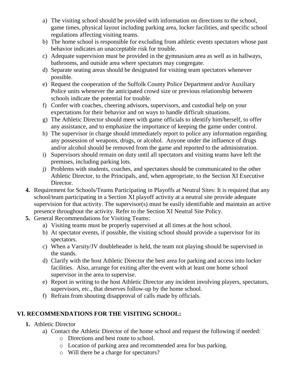- a) The visiting school should be provided with information on directions to the school, game times, physical layout including parking area, locker facilities, and specific school regulations affecting visiting teams.
- b) The home school is responsible for excluding from athletic events spectators whose past behavior indicates an unacceptable risk for trouble.
- c) Adequate supervision must be provided in the gymnasium area as well as in hallways, bathrooms, and outside area where spectators may congregate.
- d) Separate seating areas should be designated for visiting team spectators whenever possible.
- e) Request the cooperation of the Suffolk County Police Department and/or Auxiliary Police units whenever the anticipated crowd size or previous relationship between schools indicate the potential for trouble.
- f) Confer with coaches, cheering advisors, supervisors, and custodial help on your expectations for their behavior and on ways to handle difficult situations.
- g) The Athletic Director should meet with game officials to identify him/herself, to offer any assistance, and to emphasize the importance of keeping the game under control.
- h) The supervisor in charge should immediately report to police any information regarding any possession of weapons, drugs, or alcohol. Anyone under the influence of drugs and/or alcohol should be removed from the game and reported to the administration.
- i) Supervisors should remain on duty until all spectators and visiting teams have left the premises, including parking lots.
- j) Problems with students, coaches, and spectators should be communicated to the other Athletic Director, to the Principals, and, when appropriate, to the Section XI Executive Director.
- **4.** Requirement for Schools/Teams Participating in Playoffs at Neutral Sites: It is required that any school/team participating in a Section XI playoff activity at a neutral site provide adequate supervision for that activity. The supervisor(s) must be easily identifiable and maintain an active presence throughout the activity. Refer to the Section XI Neutral Site Policy.
- **5.** General Recommendations for Visiting Teams:
	- a) Visiting teams must be properly supervised at all times at the host school.
	- b) At spectator events, if possible, the visiting school should provide a supervisor for its spectators.
	- c) When a Varsity/JV doubleheader is held, the team not playing should be supervised in the stands.
	- d) Clarify with the host Athletic Director the best area for parking and access into locker facilities. Also, arrange for exiting after the event with at least one home school supervisor in the area to supervise.
	- e) Report in writing to the host Athletic Director any incident involving players, spectators, supervisors, etc., that deserves follow-up by the home school.
	- f) Refrain from shouting disapproval of calls made by officials.

#### **VI. RECOMMENDATIONS FOR THE VISITING SCHOOL:**

- **1.** Athletic Director
	- a) Contact the Athletic Director of the home school and request the following if needed:
		- o Directions and best route to school.
		- o Location of parking area and recommended area for bus parking.
		- o Will there be a charge for spectators?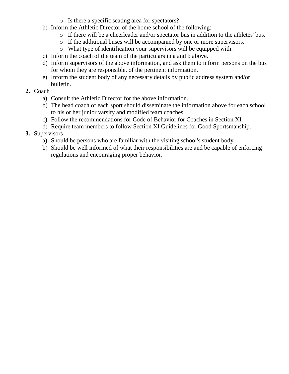- o Is there a specific seating area for spectators?
- b) Inform the Athletic Director of the home school of the following:
	- o If there will be a cheerleader and/or spectator bus in addition to the athletes' bus.
	- o If the additional buses will be accompanied by one or more supervisors.
	- o What type of identification your supervisors will be equipped with.
- c) Inform the coach of the team of the particulars in a and b above.
- d) Inform supervisors of the above information, and ask them to inform persons on the bus for whom they are responsible, of the pertinent information.
- e) Inform the student body of any necessary details by public address system and/or bulletin.

#### **2.** Coach

- a) Consult the Athletic Director for the above information.
- b) The head coach of each sport should disseminate the information above for each school to his or her junior varsity and modified team coaches.
- c) Follow the recommendations for Code of Behavior for Coaches in Section XI.
- d) Require team members to follow Section XI Guidelines for Good Sportsmanship.
- **3.** Supervisors
	- a) Should be persons who are familiar with the visiting school's student body.
	- b) Should be well informed of what their responsibilities are and be capable of enforcing regulations and encouraging proper behavior.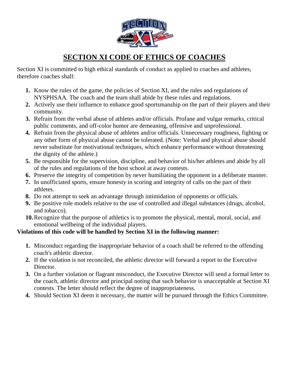

## **SECTION XI CODE OF ETHICS OF COACHES**

Section XI is committed to high ethical standards of conduct as applied to coaches and athletes, therefore coaches shall:

- **1.** Know the rules of the game, the policies of Section XI, and the rules and regulations of NYSPHSAA. The coach and the team shall abide by these rules and regulations.
- **2.** Actively use their influence to enhance good sportsmanship on the part of their players and their community.
- **3.** Refrain from the verbal abuse of athletes and/or officials. Profane and vulgar remarks, critical public comments, and off-color humor are demeaning, offensive and unprofessional.
- **4.** Refrain from the physical abuse of athletes and/or officials. Unnecessary roughness, fighting or any other form of physical abuse cannot be tolerated. (Note: Verbal and physical abuse should never substitute for motivational techniques, which enhance performance without threatening the dignity of the athlete.)
- **5.** Be responsible for the supervision, discipline, and behavior of his/her athletes and abide by all of the rules and regulations of the host school at away contests.
- **6.** Preserve the integrity of competition by never humiliating the opponent in a deliberate manner.
- **7.** In unofficiated sports, ensure honesty in scoring and integrity of calls on the part of their athletes.
- **8.** Do not attempt to seek an advantage through intimidation of opponents or officials.
- **9.** Be positive role models relative to the use of controlled and illegal substances (drugs, alcohol, and tobacco).
- **10.**Recognize that the purpose of athletics is to promote the physical, mental, moral, social, and emotional wellbeing of the individual players.

#### **Violations of this code will be handled by Section XI in the following manner:**

- **1.** Misconduct regarding the inappropriate behavior of a coach shall be referred to the offending coach's athletic director.
- **2.** If the violation is not reconciled, the athletic director will forward a report to the Executive Director.
- **3.** On a further violation or flagrant misconduct, the Executive Director will send a formal letter to the coach, athletic director and principal noting that such behavior is unacceptable at Section XI contests. The letter should reflect the degree of inappropriateness.
- **4.** Should Section XI deem it necessary, the matter will be pursued through the Ethics Committee.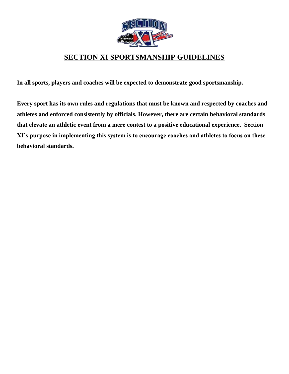

## **SECTION XI SPORTSMANSHIP GUIDELINES**

**In all sports, players and coaches will be expected to demonstrate good sportsmanship.**

**Every sport has its own rules and regulations that must be known and respected by coaches and athletes and enforced consistently by officials. However, there are certain behavioral standards that elevate an athletic event from a mere contest to a positive educational experience. Section XI's purpose in implementing this system is to encourage coaches and athletes to focus on these behavioral standards.**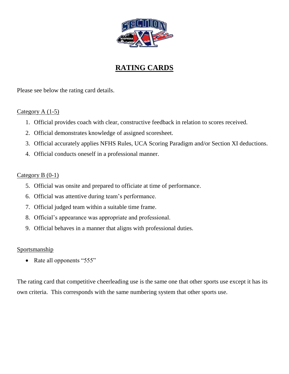

## **RATING CARDS**

Please see below the rating card details.

#### Category A (1-5)

- 1. Official provides coach with clear, constructive feedback in relation to scores received.
- 2. Official demonstrates knowledge of assigned scoresheet.
- 3. Official accurately applies NFHS Rules, UCA Scoring Paradigm and/or Section XI deductions.
- 4. Official conducts oneself in a professional manner.

#### Category B (0-1)

- 5. Official was onsite and prepared to officiate at time of performance.
- 6. Official was attentive during team's performance.
- 7. Official judged team within a suitable time frame.
- 8. Official's appearance was appropriate and professional.
- 9. Official behaves in a manner that aligns with professional duties.

#### **Sportsmanship**

• Rate all opponents "555"

The rating card that competitive cheerleading use is the same one that other sports use except it has its own criteria. This corresponds with the same numbering system that other sports use.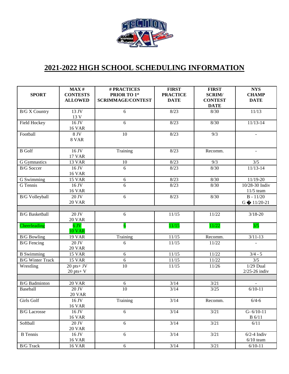

## **2021-2022 HIGH SCHOOL SCHEDULING INFORMATION**

|                         | MAX #                             | # PRACTICES                              | <b>FIRST</b>                   | <b>FIRST</b>                    | <b>NYS</b>                       |
|-------------------------|-----------------------------------|------------------------------------------|--------------------------------|---------------------------------|----------------------------------|
| <b>SPORT</b>            | <b>CONTESTS</b><br><b>ALLOWED</b> | PRIOR TO 1st<br><b>SCRIMMAGE/CONTEST</b> | <b>PRACTICE</b><br><b>DATE</b> | <b>SCRIM/</b><br><b>CONTEST</b> | <b>CHAMP</b><br><b>DATE</b>      |
|                         |                                   |                                          |                                | <b>DATE</b>                     |                                  |
| <b>B/G X Country</b>    | 13 JV                             | $\overline{6}$                           | 8/23                           | 8/30                            | 11/13                            |
|                         | 13 V                              |                                          |                                |                                 |                                  |
| <b>Field Hockey</b>     | 16 JV                             | 6                                        | 8/23                           | 8/30                            | $11/13-14$                       |
|                         | <b>16 VAR</b>                     |                                          |                                |                                 |                                  |
| Football                | 8 JV                              | 10                                       | 8/23                           | 9/3                             |                                  |
|                         | 8 VAR                             |                                          |                                |                                 |                                  |
| <b>B</b> Golf           | 16 JV                             | Training                                 | 8/23                           | Recomm.                         |                                  |
|                         | <b>17 VAR</b>                     |                                          |                                |                                 |                                  |
| G Gymnastics            | 13 VAR                            | 10                                       | 8/23                           | 9/3                             | 3/5                              |
| <b>B/G</b> Soccer       | 16 JV                             | 6                                        | 8/23                           | 8/30                            | $11/13-14$                       |
|                         | <b>16 VAR</b>                     |                                          |                                |                                 |                                  |
| G Swimming              | <b>15 VAR</b>                     | 6                                        | 8/23                           | 8/30                            | 11/19-20                         |
| G Tennis                | 16 JV                             | 6                                        | 8/23                           | 8/30                            | 10/28-30 Indiv                   |
| <b>B/G Volleyball</b>   | <b>16 VAR</b><br>$20$ JV          | 6                                        | 8/23                           | 8/30                            | $11/5$ team<br>$B - 11/20$       |
|                         | <b>20 VAR</b>                     |                                          |                                |                                 | $G$ $\bigcirc$ 11/20-21          |
|                         |                                   |                                          |                                |                                 |                                  |
| <b>B/G</b> Basketball   | 20 JV                             | 6                                        | 11/15                          | 11/22                           | $3/18 - 20$                      |
|                         | <b>20 VAR</b>                     |                                          |                                |                                 |                                  |
| Cheerleading            | $6\,\mathrm{JV}$                  | $\overline{6}$                           | 11/15                          | 11/22                           | 3/5                              |
|                         | <b>10 VAR</b>                     |                                          |                                |                                 |                                  |
| <b>B/G Bowling</b>      | <b>19 VAR</b>                     | Training                                 | 11/15                          | Recomm.                         | $3/11 - 13$                      |
| <b>B/G</b> Fencing      | 20 JV<br><b>20 VAR</b>            | 6                                        | 11/15                          | 11/22                           |                                  |
| <b>B</b> Swimming       | <b>15 VAR</b>                     | 6                                        | 11/15                          | 11/22                           | $3/4 - 5$                        |
| <b>B/G Winter Track</b> | <b>15 VAR</b>                     | 6                                        | 11/15                          | 11/22                           | 3/5                              |
| Wrestling               | $20$ pts+ JV                      | 10                                       | 11/15                          | 11/26                           | $1/29$ Dual                      |
|                         | $20$ pts+ $V$                     |                                          |                                |                                 | $2/25 - 26$ indiv                |
|                         |                                   |                                          |                                |                                 |                                  |
| <b>B/G</b> Badminton    | <b>20 VAR</b>                     | 6                                        | 3/14                           | 3/21                            | $\overline{\phantom{a}}$         |
| Baseball                | 20 JV                             | 10                                       | 3/14                           | 3/25                            | $6/10-11$                        |
|                         | 20 VAR                            |                                          |                                |                                 |                                  |
| Girls Golf              | 16 JV                             | Training                                 | 3/14                           | Recomm.                         | $6/4 - 6$                        |
|                         | <b>16 VAR</b>                     |                                          |                                |                                 |                                  |
| <b>B/G</b> Lacrosse     | 16 JV<br><b>16 VAR</b>            | 6                                        | 3/14                           | 3/21                            | $G - 6/10 - 11$<br><b>B</b> 6/11 |
| Softball                | 20 JV                             | 6                                        | 3/14                           | 3/21                            | 6/11                             |
|                         | <b>20 VAR</b>                     |                                          |                                |                                 |                                  |
| <b>B</b> Tennis         | 16 JV                             | 6                                        | 3/14                           | 3/21                            | $6/2-4$ Indiv                    |
|                         | <b>16 VAR</b>                     |                                          |                                |                                 | $6/10$ team                      |
| <b>B/G</b> Track        | <b>16 VAR</b>                     | 6                                        | 3/14                           | 3/21                            | $6/10-11$                        |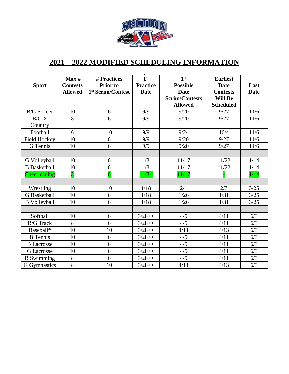

## **2021 – 2022 MODIFIED SCHEDULING INFORMATION**

| <b>Sport</b>        | Max#<br><b>Contests</b> | # Practices<br><b>Prior</b> to | 1 <sup>st</sup><br><b>Practice</b> | 1 <sup>st</sup><br><b>Possible</b> | <b>Earliest</b><br><b>Date</b> | Last        |
|---------------------|-------------------------|--------------------------------|------------------------------------|------------------------------------|--------------------------------|-------------|
|                     | <b>Allowed</b>          | 1 <sup>st</sup> Scrim/Contest  | <b>Date</b>                        | <b>Date</b>                        | <b>Contests</b>                | <b>Date</b> |
|                     |                         |                                |                                    | <b>Scrim/Contests</b>              | <b>Will Be</b>                 |             |
|                     |                         |                                |                                    | <b>Allowed</b>                     | <b>Scheduled</b>               |             |
| <b>B/G</b> Soccer   | 10                      | 6                              | 9/9                                | 9/20                               | 9/27                           | 11/6        |
| B/G X               | 8                       | 6                              | 9/9                                | 9/20                               | 9/27                           | 11/6        |
| Country             |                         |                                |                                    |                                    |                                |             |
| Football            | 6                       | 10                             | 9/9                                | 9/24                               | 10/4                           | 11/6        |
| <b>Field Hockey</b> | 10                      | 6                              | 9/9                                | 9/20                               | 9/27                           | 11/6        |
| G Tennis            | 10                      | 6                              | 9/9                                | 9/20                               | 9/27                           | 11/6        |
|                     |                         |                                |                                    |                                    |                                |             |
| G Volleyball        | 10                      | 6                              | $11/8+$                            | 11/17                              | 11/22                          | 1/14        |
| <b>B</b> Basketball | 10                      | 6                              | $11/8+$                            | 11/17                              | 11/22                          | 1/14        |
| Cheerleading        | $\overline{3}$          | $\overline{6}$                 | $11/8+$                            | 11/17                              |                                | 1/14        |
|                     |                         |                                |                                    |                                    |                                |             |
| Wrestling           | 10                      | 10                             | $1/18$                             | 2/1                                | 2/7                            | 3/25        |
| G Basketball        | 10                      | 6                              | 1/18                               | 1/26                               | 1/31                           | 3/25        |
| <b>B</b> Volleyball | 10                      | 6                              | 1/18                               | 1/26                               | 1/31                           | 3/25        |
|                     |                         |                                |                                    |                                    |                                |             |
| Softball            | 10                      | 6                              | $3/28++$                           | 4/5                                | 4/11                           | 6/3         |
| <b>B/G</b> Track    | 8                       | 6                              | $3/28++$                           | 4/5                                | 4/11                           | 6/3         |
| Baseball*           | 10                      | 10                             | $3/28++$                           | 4/11                               | 4/13                           | 6/3         |
| <b>B</b> Tennis     | 10                      | 6                              | $3/28++$                           | 4/5                                | 4/11                           | 6/3         |
| <b>B</b> Lacrosse   | 10                      | 6                              | $3/28++$                           | 4/5                                | 4/11                           | 6/3         |
| <b>G</b> Lacrosse   | 10                      | 6                              | $3/28++$                           | 4/5                                | 4/11                           | 6/3         |
| <b>B</b> Swimming   | $8\,$                   | 6                              | $3/28++$                           | 4/5                                | 4/11                           | 6/3         |
| G Gymnastics        | $\overline{8}$          | 10                             | $3/28++$                           | 4/11                               | 4/13                           | 6/3         |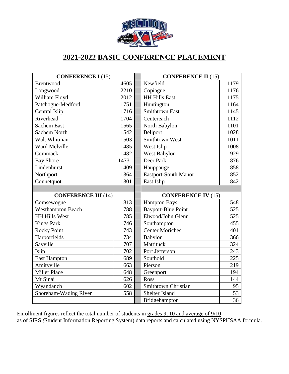

## **2021-2022 BASIC CONFERENCE PLACEMENT**

| <b>CONFERENCE I (15)</b>   |      | <b>CONFERENCE II (15)</b>          |  |
|----------------------------|------|------------------------------------|--|
| Brentwood                  | 4605 | Newfield<br>1179                   |  |
| Longwood                   | 2210 | 1176<br>Copiague                   |  |
| William Floyd              | 2012 | <b>HH Hills East</b><br>1175       |  |
| Patchogue-Medford          | 1751 | 1164<br>Huntington                 |  |
| Central Islip              | 1716 | <b>Smithtown East</b><br>1145      |  |
| Riverhead                  | 1704 | 1112<br>Centereach                 |  |
| <b>Sachem East</b>         | 1565 | 1101<br>North Babylon              |  |
| <b>Sachem North</b>        | 1542 | Bellport<br>1028                   |  |
| Walt Whitman               | 1503 | Smithtown West<br>1011             |  |
| Ward Melville              | 1485 | West Islip<br>1008                 |  |
| Commack                    | 1482 | 929<br>West Babylon                |  |
| <b>Bay Shore</b>           | 1473 | Deer Park<br>876                   |  |
| Lindenhurst                | 1409 | 858<br>Hauppauge                   |  |
| Northport                  | 1364 | <b>Eastport-South Manor</b><br>852 |  |
| Connetquot                 | 1301 | East Islip<br>842                  |  |
|                            |      |                                    |  |
| <b>CONFERENCE III (14)</b> |      | <b>CONFERENCE IV (15)</b>          |  |
| Comsewogue                 | 813  | 548<br><b>Hampton Bays</b>         |  |
| <b>Westhampton Beach</b>   | 788  | <b>Bayport-Blue Point</b><br>525   |  |
| <b>HH Hills West</b>       | 785  | Elwood/John Glenn<br>525           |  |
| <b>Kings Park</b>          | 746  | Southampton<br>455                 |  |
| Rocky Point                | 743  | <b>Center Moriches</b><br>401      |  |
| Harborfields               | 734  | 366<br>Babylon                     |  |
| Sayville                   | 707  | 324<br>Mattituck                   |  |
| Islip                      | 702  | Port Jefferson<br>243              |  |
| <b>East Hampton</b>        | 689  | Southold<br>225                    |  |
| Amityville                 | 663  | Pierson<br>219                     |  |
| <b>Miller Place</b>        | 648  | 194<br>Greenport                   |  |
| Mt Sinai                   | 626  | Ross<br>144                        |  |
| Wyandanch                  | 602  | Smithtown Christian<br>95          |  |
| Shoreham-Wading River      | 558  | 53<br>Shelter Island               |  |
|                            |      | 36<br>Bridgehampton                |  |

Enrollment figures reflect the total number of students in grades 9, 10 and average of 9/10 as of SIRS *(*Student Information Reporting System) data reports and calculated using NYSPHSAA formula.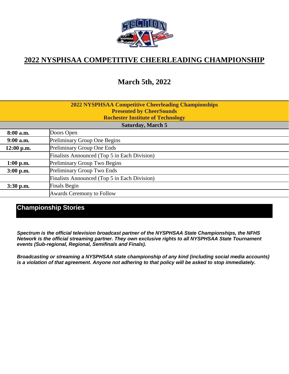

## **2022 NYSPHSAA COMPETITIVE CHEERLEADING CHAMPIONSHIP**

## **March 5th, 2022**

| <b>2022 NYSPHSAA Competitive Cheerleading Championships</b> |
|-------------------------------------------------------------|
| <b>Presented by CheerSounds</b>                             |
| <b>Rochester Institute of Technology</b>                    |

| <b>Saturday, March 5</b> |                                              |
|--------------------------|----------------------------------------------|
| 8:00 a.m.                | Doors Open                                   |
| $9:00$ a.m.              | <b>Preliminary Group One Begins</b>          |
| $12:00$ p.m.             | Preliminary Group One Ends                   |
|                          | Finalists Announced (Top 5 in Each Division) |
| $1:00$ p.m.              | <b>Preliminary Group Two Begins</b>          |
| $3:00$ p.m.              | Preliminary Group Two Ends                   |
|                          | Finalists Announced (Top 5 in Each Division) |
| $3:30$ p.m.              | <b>Finals Begin</b>                          |
|                          | Awards Ceremony to Follow                    |
|                          |                                              |

#### **Championship Stories**

*Spectrum is the official television broadcast partner of the NYSPHSAA State Championships, the NFHS Network is the official streaming partner. They own exclusive rights to all NYSPHSAA State Tournament events (Sub-regional, Regional, Semifinals and Finals).*

*Broadcasting or streaming a NYSPHSAA state championship of any kind (including social media accounts) is a violation of that agreement. Anyone not adhering to that policy will be asked to stop immediately.*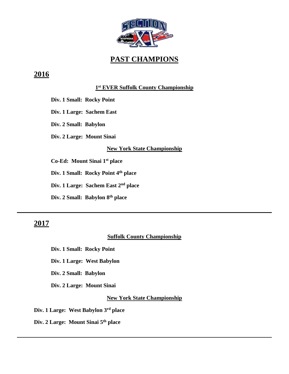

## **PAST CHAMPIONS**

## **2016**

#### **1 st EVER Suffolk County Championship**

**Div. 1 Small: Rocky Point**

**Div. 1 Large: Sachem East**

**Div. 2 Small: Babylon**

**Div. 2 Large: Mount Sinai**

#### **New York State Championship**

**Co-Ed: Mount Sinai 1st place**

**Div. 1 Small: Rocky Point 4th place**

**Div. 1 Large: Sachem East 2nd place**

**Div. 2 Small: Babylon 8th place**

## **2017**

#### **Suffolk County Championship**

**Div. 1 Small: Rocky Point**

**Div. 1 Large: West Babylon**

**Div. 2 Small: Babylon**

**Div. 2 Large: Mount Sinai**

#### **New York State Championship**

 **Div. 1 Large: West Babylon 3rd place**

 **Div. 2 Large: Mount Sinai 5th place**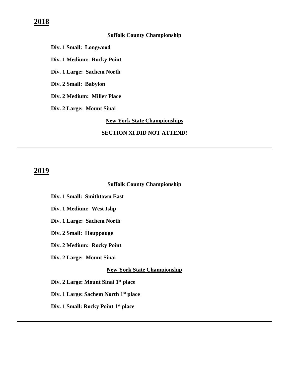#### **Suffolk County Championship**

**Div. 1 Small: Longwood** 

**Div. 1 Medium: Rocky Point**

**Div. 1 Large: Sachem North**

**Div. 2 Small: Babylon**

**Div. 2 Medium: Miller Place**

**Div. 2 Large: Mount Sinai**

**New York State Championships**

#### **SECTION XI DID NOT ATTEND!**

#### **2019**

#### **Suffolk County Championship**

**Div. 1 Small: Smithtown East** 

- **Div. 1 Medium: West Islip**
- **Div. 1 Large: Sachem North**
- **Div. 2 Small: Hauppauge**
- **Div. 2 Medium: Rocky Point**
- **Div. 2 Large: Mount Sinai**

#### **New York State Championship**

 **Div. 2 Large: Mount Sinai 1st place**

 **Div. 1 Large: Sachem North 1st place**

**Div. 1 Small: Rocky Point 1st place**

#### **2018**